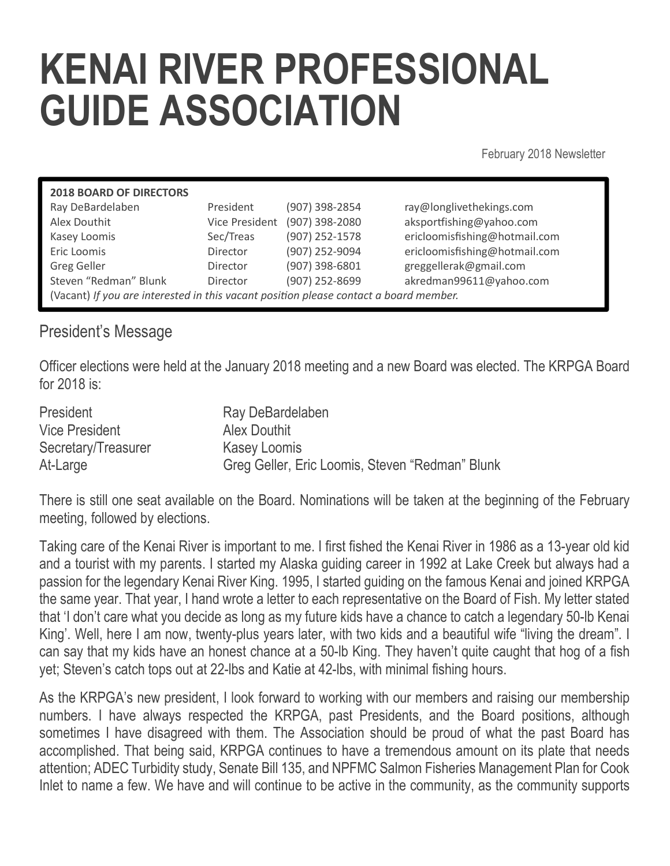## KENAI RIVER PROFESSIONAL GUIDE ASSOCIATION

February 2018 Newsletter

| <b>2018 BOARD OF DIRECTORS</b>                                                        |                 |                               |                               |
|---------------------------------------------------------------------------------------|-----------------|-------------------------------|-------------------------------|
| Ray DeBardelaben                                                                      | President       | (907) 398-2854                | ray@longlivethekings.com      |
| Alex Douthit                                                                          |                 | Vice President (907) 398-2080 | aksportfishing@yahoo.com      |
| Kasey Loomis                                                                          | Sec/Treas       | (907) 252-1578                | ericloomisfishing@hotmail.com |
| Eric Loomis                                                                           | <b>Director</b> | (907) 252-9094                | ericloomisfishing@hotmail.com |
| <b>Greg Geller</b>                                                                    | <b>Director</b> | (907) 398-6801                | greggellerak@gmail.com        |
| Steven "Redman" Blunk                                                                 | <b>Director</b> | (907) 252-8699                | akredman99611@yahoo.com       |
| (Vacant) If you are interested in this vacant position please contact a board member. |                 |                               |                               |
|                                                                                       |                 |                               |                               |

## President's Message

Officer elections were held at the January 2018 meeting and a new Board was elected. The KRPGA Board for 2018 is:

| President           | Ray DeBardelaben                                |
|---------------------|-------------------------------------------------|
| Vice President      | Alex Douthit                                    |
| Secretary/Treasurer | <b>Kasey Loomis</b>                             |
| At-Large            | Greg Geller, Eric Loomis, Steven "Redman" Blunk |

There is still one seat available on the Board. Nominations will be taken at the beginning of the February meeting, followed by elections.

Taking care of the Kenai River is important to me. I first fished the Kenai River in 1986 as a 13-year old kid and a tourist with my parents. I started my Alaska guiding career in 1992 at Lake Creek but always had a passion for the legendary Kenai River King. 1995, I started guiding on the famous Kenai and joined KRPGA the same year. That year, I hand wrote a letter to each representative on the Board of Fish. My letter stated that 'I don't care what you decide as long as my future kids have a chance to catch a legendary 50-lb Kenai King'. Well, here I am now, twenty-plus years later, with two kids and a beautiful wife "living the dream". I can say that my kids have an honest chance at a 50-lb King. They haven't quite caught that hog of a fish yet; Steven's catch tops out at 22-lbs and Katie at 42-lbs, with minimal fishing hours.

As the KRPGA's new president, I look forward to working with our members and raising our membership numbers. I have always respected the KRPGA, past Presidents, and the Board positions, although sometimes I have disagreed with them. The Association should be proud of what the past Board has accomplished. That being said, KRPGA continues to have a tremendous amount on its plate that needs attention; ADEC Turbidity study, Senate Bill 135, and NPFMC Salmon Fisheries Management Plan for Cook Inlet to name a few. We have and will continue to be active in the community, as the community supports